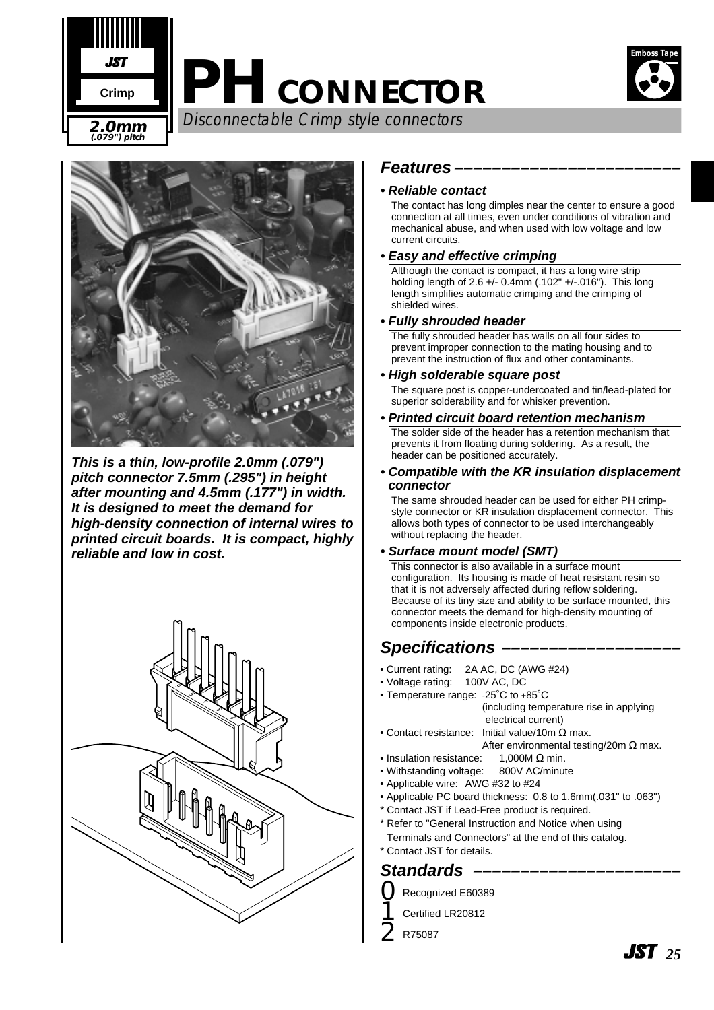

# **PH CONNECTOR**



Disconnectable Crimp style connectors **2.0mm**



**This is a thin, low-profile 2.0mm (.079") pitch connector 7.5mm (.295") in height after mounting and 4.5mm (.177") in width. It is designed to meet the demand for high-density connection of internal wires to printed circuit boards. It is compact, highly reliable and low in cost.**



## **Features ––––––––––––––––––––––––**

#### **• Reliable contact**

The contact has long dimples near the center to ensure a good connection at all times, even under conditions of vibration and mechanical abuse, and when used with low voltage and low current circuits.

## **• Easy and effective crimping**

Although the contact is compact, it has a long wire strip holding length of 2.6 +/- 0.4mm (.102" +/-.016"). This long length simplifies automatic crimping and the crimping of shielded wires.

## **• Fully shrouded header**

The fully shrouded header has walls on all four sides to prevent improper connection to the mating housing and to prevent the instruction of flux and other contaminants.

#### **• High solderable square post**

The square post is copper-undercoated and tin/lead-plated for superior solderability and for whisker prevention.

**• Printed circuit board retention mechanism**

The solder side of the header has a retention mechanism that prevents it from floating during soldering. As a result, the header can be positioned accurately.

**• Compatible with the KR insulation displacement connector**

The same shrouded header can be used for either PH crimpstyle connector or KR insulation displacement connector. This allows both types of connector to be used interchangeably without replacing the header.

#### **• Surface mount model (SMT)**

This connector is also available in a surface mount configuration. Its housing is made of heat resistant resin so that it is not adversely affected during reflow soldering. Because of its tiny size and ability to be surface mounted, this connector meets the demand for high-density mounting of components inside electronic products.

# **Specifications –**

- Current rating: 2A AC, DC (AWG #24)<br>• Voltage rating: 100V AC, DC
- Voltage rating:
- Temperature range: -25˚C to +85˚C (including temperature rise in applying electrical current)
- Contact resistance: Initial value/10m Ω max.
	- After environmental testing/20m  $\Omega$  max.
- Insulation resistance:  $1.000M \Omega$  min.
- Withstanding voltage: 800V AC/minute
- Applicable wire: AWG #32 to #24
- Applicable PC board thickness: 0.8 to 1.6mm(.031" to .063")
- \* Contact JST if Lead-Free product is required.
- \* Refer to "General Instruction and Notice when using Terminals and Connectors" at the end of this catalog.
- \* Contact JST for details.

# Standards -

0Recognized E60389

- 1Certified LR20812
- 2R75087